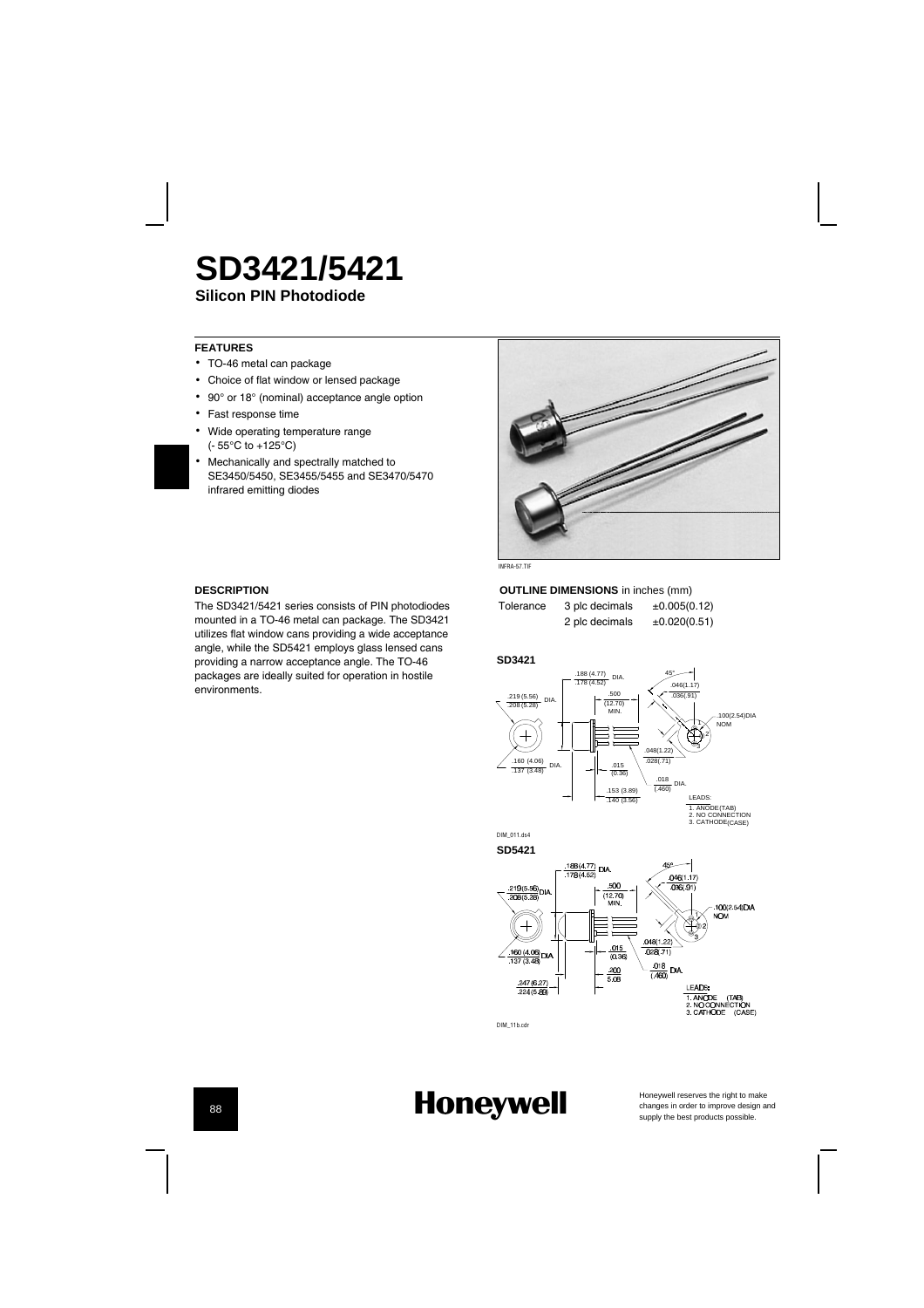# **Silicon PIN Photodiode SD3421/5421**

### **FEATURES**

- TO-46 metal can package
- Choice of flat window or lensed package
- 90° or 18° (nominal) acceptance angle option
- Fast response time
- Wide operating temperature range
- (-55¡C to +125¡C)
- Mechanically and spectrally matched to SE3450/5450, SE3455/5455 and SE3470/5470 infrared emitting diodes •

### **DESCRIPTION**

The SD3421/5421 series consists of PIN photodiodes mounted in a TO-46 metal can package. The SD3421 utilizes flat window cans providing a wide acceptance angle, while the SD5421 employs glass lensed cans providing a narrow acceptance angle. The TO-46 packages are ideally suited for operation in hostile environments.



## **OUTLINE DIMENSIONS** in inches (mm)

Tolerance 3 plc decimals  $\pm 0.005(0.12)$ <br>2 plc decimals  $\pm 0.020(0.51)$ 2 plc decimals

#### **SD3421**







DIM\_11b.cdr

# **Honeywell**

Honeywell reserves the right to make<br>changes in order to improve design and<br>supply the best products possible.

(CASE)

## 88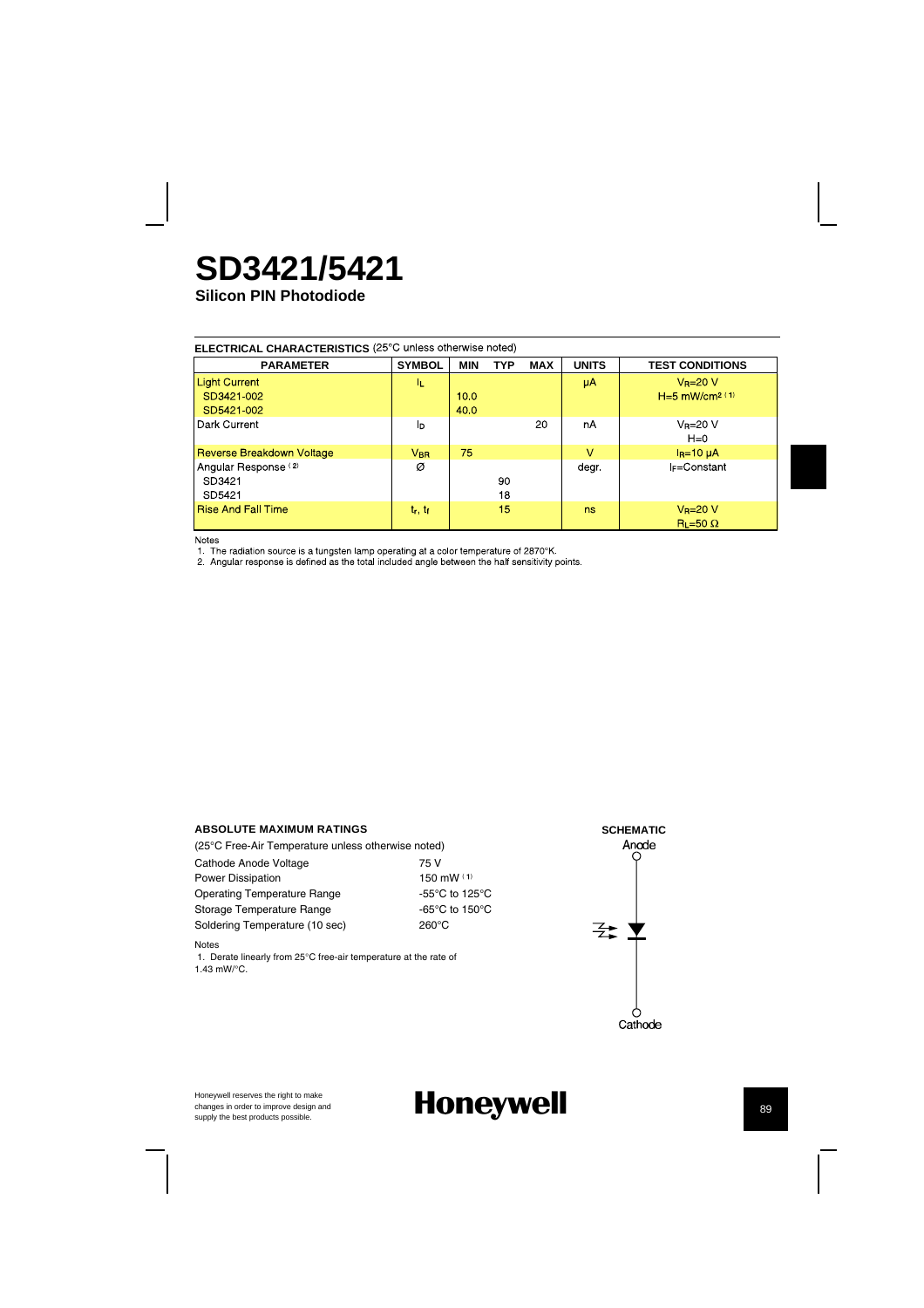# **SD3421/5421**

**Silicon PIN Photodiode**

| ELECTRICAL CHARACTERISTICS (25°C unless otherwise noted) |  |  |
|----------------------------------------------------------|--|--|
|----------------------------------------------------------|--|--|

| <b>PARAMETER</b>                 | <b>SYMBOL</b>   | MIN  | <b>TYP</b> | <b>MAX</b> | <b>UNITS</b>    | <b>TEST CONDITIONS</b>                   |
|----------------------------------|-----------------|------|------------|------------|-----------------|------------------------------------------|
| <b>Light Current</b>             | IL.             |      |            |            | μA <sup>1</sup> | $V_R = 20 V$                             |
| SD3421-002                       |                 | 10.0 |            |            |                 | $H=5$ mW/cm <sup>2 (1)</sup>             |
| SD5421-002                       |                 | 40.0 |            |            |                 |                                          |
| Dark Current                     | Iр              |      |            | 20         | nA              | $V_R = 20 V$<br>$H=0$                    |
| <b>Reverse Breakdown Voltage</b> | $V_{\text{BR}}$ | 75   |            |            | $\vee$          | $IR=10$ $\mu$ A                          |
| Angular Response <sup>(2)</sup>  | Ø               |      |            |            | degr.           | <b>IF=Constant</b>                       |
| SD3421                           |                 |      | 90         |            |                 |                                          |
| SD5421                           |                 |      | 18         |            |                 |                                          |
| <b>Rise And Fall Time</b>        | $t_r, t_f$      |      | 15         |            | ns              | $V_R = 20 V$<br>$\text{R}_1 = 50 \Omega$ |

Notes<br>1. The radiation source is a tungsten lamp operating at a color temperature of 2870°K.<br>2. Angular response is defined as the total included angle between the half sensitivity points.

### **ABSOLUTE MAXIMUM RATINGS**

Honeywell reserves the right to make changes in order to improve design and

| (25°C Free-Air Temperature unless otherwise noted) |                                                      |
|----------------------------------------------------|------------------------------------------------------|
| Cathode Anode Voltage                              | 75 V                                                 |
| <b>Power Dissipation</b>                           | 150 mW $(1)$                                         |
| <b>Operating Temperature Range</b>                 | -55 $\mathrm{^{\circ}C}$ to 125 $\mathrm{^{\circ}C}$ |
| Storage Temperature Range                          | -65 $\mathrm{^{\circ}C}$ to 150 $\mathrm{^{\circ}C}$ |
| Soldering Temperature (10 sec)                     | 260°C                                                |
|                                                    |                                                      |

Notes

1. Derate linearly from 25°C free-air temperature at the rate of 1.43 mW/°C.



**Supply the best products possible.** Honeywell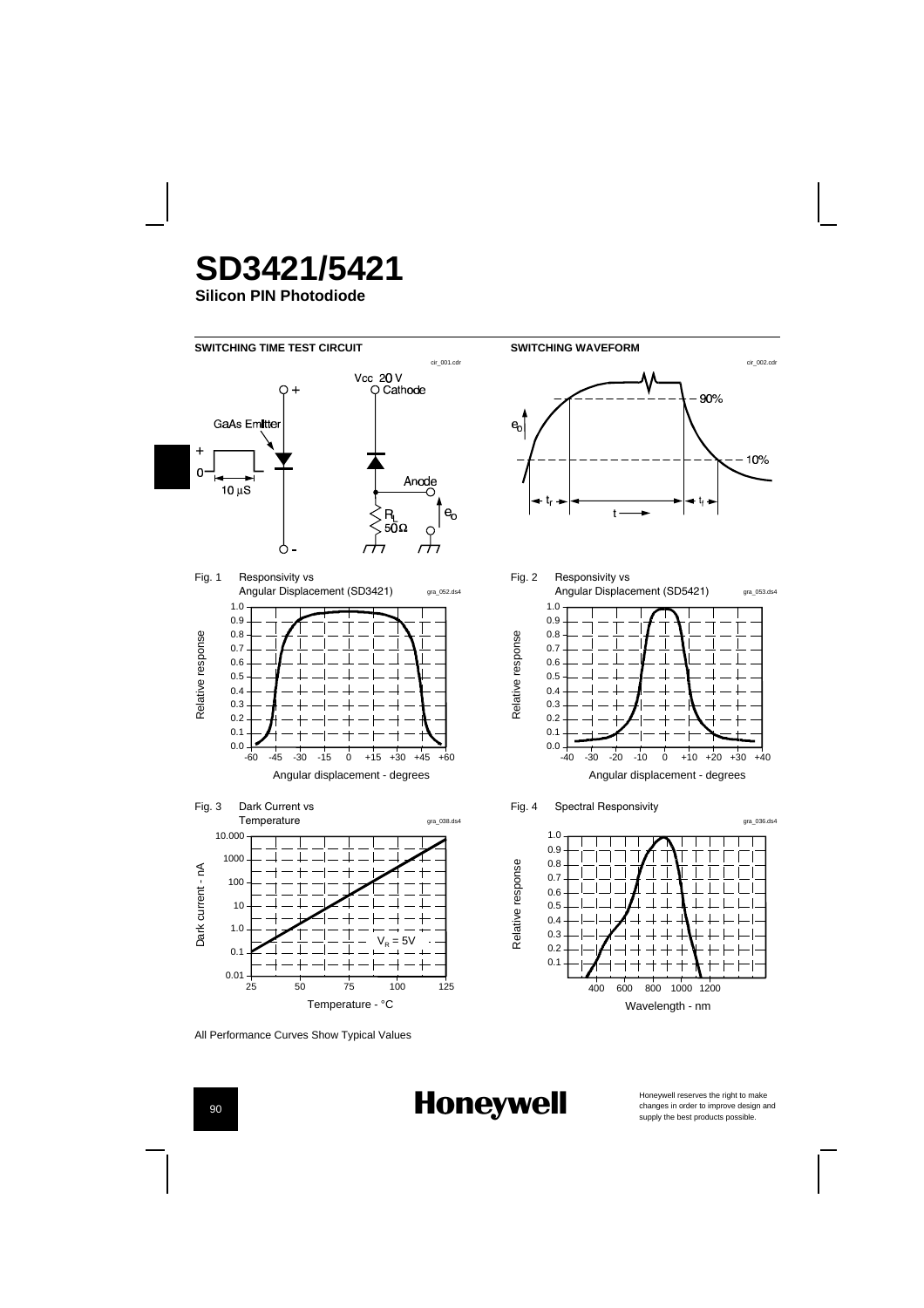**SD3421/5421**

**Silicon PIN Photodiode**



**Honeywell** 

All Performance Curves Show Typical Values

Honeywell reserves the right to make<br>changes in order to improve design and<br>supply the best products possible.